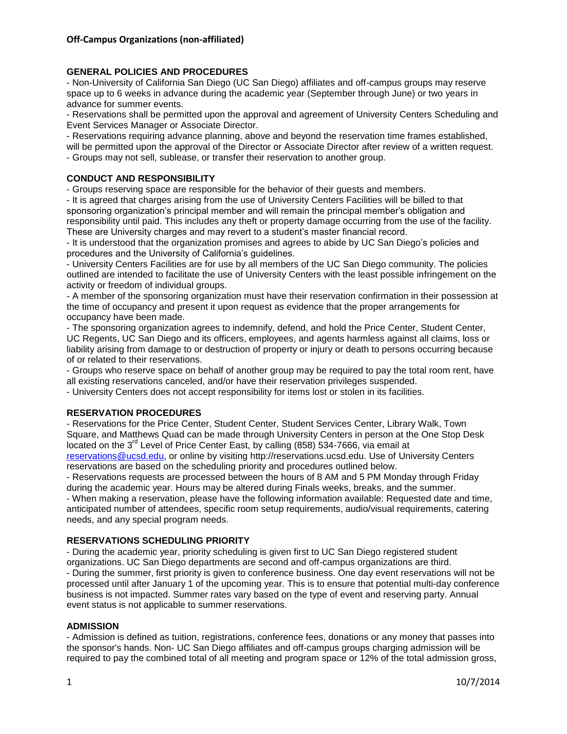### **GENERAL POLICIES AND PROCEDURES**

- Non-University of California San Diego (UC San Diego) affiliates and off-campus groups may reserve space up to 6 weeks in advance during the academic year (September through June) or two years in advance for summer events.

- Reservations shall be permitted upon the approval and agreement of University Centers Scheduling and Event Services Manager or Associate Director.

- Reservations requiring advance planning, above and beyond the reservation time frames established, will be permitted upon the approval of the Director or Associate Director after review of a written request. - Groups may not sell, sublease, or transfer their reservation to another group.

# **CONDUCT AND RESPONSIBILITY**

- Groups reserving space are responsible for the behavior of their guests and members.

- It is agreed that charges arising from the use of University Centers Facilities will be billed to that sponsoring organization's principal member and will remain the principal member's obligation and responsibility until paid. This includes any theft or property damage occurring from the use of the facility. These are University charges and may revert to a student's master financial record.

- It is understood that the organization promises and agrees to abide by UC San Diego's policies and procedures and the University of California's guidelines.

- University Centers Facilities are for use by all members of the UC San Diego community. The policies outlined are intended to facilitate the use of University Centers with the least possible infringement on the activity or freedom of individual groups.

- A member of the sponsoring organization must have their reservation confirmation in their possession at the time of occupancy and present it upon request as evidence that the proper arrangements for occupancy have been made.

- The sponsoring organization agrees to indemnify, defend, and hold the Price Center, Student Center, UC Regents, UC San Diego and its officers, employees, and agents harmless against all claims, loss or liability arising from damage to or destruction of property or injury or death to persons occurring because of or related to their reservations.

- Groups who reserve space on behalf of another group may be required to pay the total room rent, have all existing reservations canceled, and/or have their reservation privileges suspended.

- University Centers does not accept responsibility for items lost or stolen in its facilities.

#### **RESERVATION PROCEDURES**

- Reservations for the Price Center, Student Center, Student Services Center, Library Walk, Town Square, and Matthews Quad can be made through University Centers in person at the One Stop Desk located on the  $3<sup>rd</sup>$  Level of Price Center East, by calling (858) 534-7666, via email at [reservations@ucsd.edu,](mailto:reservations@ucsd.edu) or online by visiting http://reservations.ucsd.edu. Use of University Centers reservations are based on the scheduling priority and procedures outlined below.

- Reservations requests are processed between the hours of 8 AM and 5 PM Monday through Friday during the academic year. Hours may be altered during Finals weeks, breaks, and the summer.

- When making a reservation, please have the following information available: Requested date and time, anticipated number of attendees, specific room setup requirements, audio/visual requirements, catering needs, and any special program needs.

#### **RESERVATIONS SCHEDULING PRIORITY**

- During the academic year, priority scheduling is given first to UC San Diego registered student organizations. UC San Diego departments are second and off-campus organizations are third. - During the summer, first priority is given to conference business. One day event reservations will not be processed until after January 1 of the upcoming year. This is to ensure that potential multi-day conference business is not impacted. Summer rates vary based on the type of event and reserving party. Annual event status is not applicable to summer reservations.

#### **ADMISSION**

- Admission is defined as tuition, registrations, conference fees, donations or any money that passes into the sponsor's hands. Non- UC San Diego affiliates and off-campus groups charging admission will be required to pay the combined total of all meeting and program space or 12% of the total admission gross,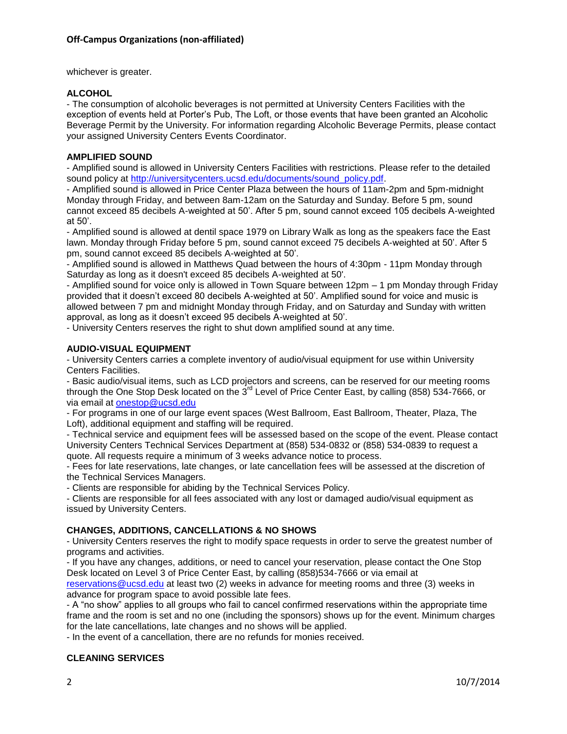whichever is greater.

### **ALCOHOL**

- The consumption of alcoholic beverages is not permitted at University Centers Facilities with the exception of events held at Porter's Pub, The Loft, or those events that have been granted an Alcoholic Beverage Permit by the University. For information regarding Alcoholic Beverage Permits, please contact your assigned University Centers Events Coordinator.

### **AMPLIFIED SOUND**

- Amplified sound is allowed in University Centers Facilities with restrictions. Please refer to the detailed sound policy at [http://universitycenters.ucsd.edu/documents/sound\\_policy.pdf.](http://universitycenters.ucsd.edu/documents/sound_policy.pdf)

- Amplified sound is allowed in Price Center Plaza between the hours of 11am-2pm and 5pm-midnight Monday through Friday, and between 8am-12am on the Saturday and Sunday. Before 5 pm, sound cannot exceed 85 decibels A-weighted at 50'. After 5 pm, sound cannot exceed 105 decibels A-weighted at 50'.

- Amplified sound is allowed at dentil space 1979 on Library Walk as long as the speakers face the East lawn. Monday through Friday before 5 pm, sound cannot exceed 75 decibels A-weighted at 50'. After 5 pm, sound cannot exceed 85 decibels A-weighted at 50'.

- Amplified sound is allowed in Matthews Quad between the hours of 4:30pm - 11pm Monday through Saturday as long as it doesn't exceed 85 decibels A-weighted at 50'.

- Amplified sound for voice only is allowed in Town Square between 12pm – 1 pm Monday through Friday provided that it doesn't exceed 80 decibels A-weighted at 50'. Amplified sound for voice and music is allowed between 7 pm and midnight Monday through Friday, and on Saturday and Sunday with written approval, as long as it doesn't exceed 95 decibels A-weighted at 50'.

- University Centers reserves the right to shut down amplified sound at any time.

### **AUDIO-VISUAL EQUIPMENT**

- University Centers carries a complete inventory of audio/visual equipment for use within University Centers Facilities.

- Basic audio/visual items, such as LCD projectors and screens, can be reserved for our meeting rooms through the One Stop Desk located on the  $3^{rd}$  Level of Price Center East, by calling (858) 534-7666, or via email at [onestop@ucsd.edu](mailto:onestop@ucsd.edu)

- For programs in one of our large event spaces (West Ballroom, East Ballroom, Theater, Plaza, The Loft), additional equipment and staffing will be required.

- Technical service and equipment fees will be assessed based on the scope of the event. Please contact University Centers Technical Services Department at (858) 534-0832 or (858) 534-0839 to request a quote. All requests require a minimum of 3 weeks advance notice to process.

- Fees for late reservations, late changes, or late cancellation fees will be assessed at the discretion of the Technical Services Managers.

- Clients are responsible for abiding by the Technical Services Policy.

- Clients are responsible for all fees associated with any lost or damaged audio/visual equipment as issued by University Centers.

### **CHANGES, ADDITIONS, CANCELLATIONS & NO SHOWS**

- University Centers reserves the right to modify space requests in order to serve the greatest number of programs and activities.

- If you have any changes, additions, or need to cancel your reservation, please contact the One Stop Desk located on Level 3 of Price Center East, by calling (858)534-7666 or via email at [reservations@ucsd.edu](mailto:reservations@ucsd.edu) at least two (2) weeks in advance for meeting rooms and three (3) weeks in advance for program space to avoid possible late fees.

- A "no show" applies to all groups who fail to cancel confirmed reservations within the appropriate time frame and the room is set and no one (including the sponsors) shows up for the event. Minimum charges for the late cancellations, late changes and no shows will be applied.

- In the event of a cancellation, there are no refunds for monies received.

#### **CLEANING SERVICES**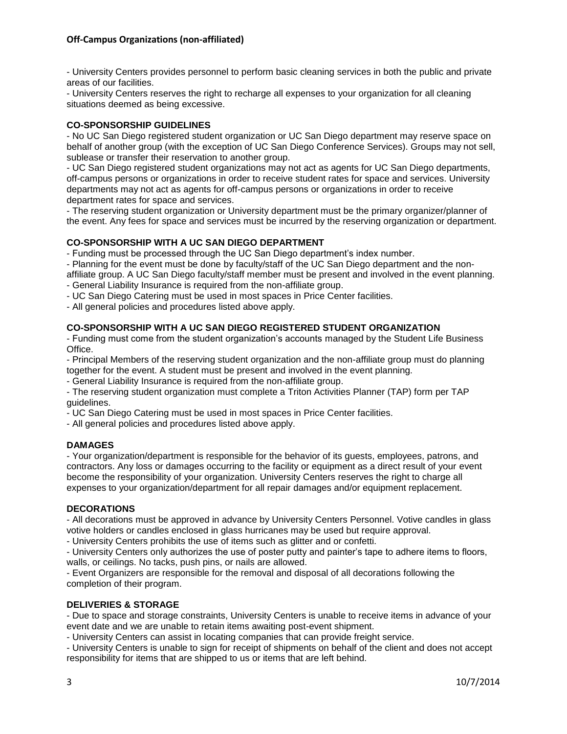### **Off-Campus Organizations (non-affiliated)**

- University Centers provides personnel to perform basic cleaning services in both the public and private areas of our facilities.

- University Centers reserves the right to recharge all expenses to your organization for all cleaning situations deemed as being excessive.

#### **CO-SPONSORSHIP GUIDELINES**

- No UC San Diego registered student organization or UC San Diego department may reserve space on behalf of another group (with the exception of UC San Diego Conference Services). Groups may not sell, sublease or transfer their reservation to another group.

- UC San Diego registered student organizations may not act as agents for UC San Diego departments, off-campus persons or organizations in order to receive student rates for space and services. University departments may not act as agents for off-campus persons or organizations in order to receive department rates for space and services.

- The reserving student organization or University department must be the primary organizer/planner of the event. Any fees for space and services must be incurred by the reserving organization or department.

### **CO-SPONSORSHIP WITH A UC SAN DIEGO DEPARTMENT**

- Funding must be processed through the UC San Diego department's index number.

- Planning for the event must be done by faculty/staff of the UC San Diego department and the non-

affiliate group. A UC San Diego faculty/staff member must be present and involved in the event planning. - General Liability Insurance is required from the non-affiliate group.

- UC San Diego Catering must be used in most spaces in Price Center facilities.

- All general policies and procedures listed above apply.

### **CO-SPONSORSHIP WITH A UC SAN DIEGO REGISTERED STUDENT ORGANIZATION**

- Funding must come from the student organization's accounts managed by the Student Life Business Office.

- Principal Members of the reserving student organization and the non-affiliate group must do planning together for the event. A student must be present and involved in the event planning.

- General Liability Insurance is required from the non-affiliate group.

- The reserving student organization must complete a Triton Activities Planner (TAP) form per TAP guidelines.

- UC San Diego Catering must be used in most spaces in Price Center facilities.

- All general policies and procedures listed above apply.

#### **DAMAGES**

- Your organization/department is responsible for the behavior of its guests, employees, patrons, and contractors. Any loss or damages occurring to the facility or equipment as a direct result of your event become the responsibility of your organization. University Centers reserves the right to charge all expenses to your organization/department for all repair damages and/or equipment replacement.

#### **DECORATIONS**

- All decorations must be approved in advance by University Centers Personnel. Votive candles in glass votive holders or candles enclosed in glass hurricanes may be used but require approval.

- University Centers prohibits the use of items such as glitter and or confetti.

- University Centers only authorizes the use of poster putty and painter's tape to adhere items to floors, walls, or ceilings. No tacks, push pins, or nails are allowed.

- Event Organizers are responsible for the removal and disposal of all decorations following the completion of their program.

### **DELIVERIES & STORAGE**

- Due to space and storage constraints, University Centers is unable to receive items in advance of your event date and we are unable to retain items awaiting post-event shipment.

- University Centers can assist in locating companies that can provide freight service.

- University Centers is unable to sign for receipt of shipments on behalf of the client and does not accept responsibility for items that are shipped to us or items that are left behind.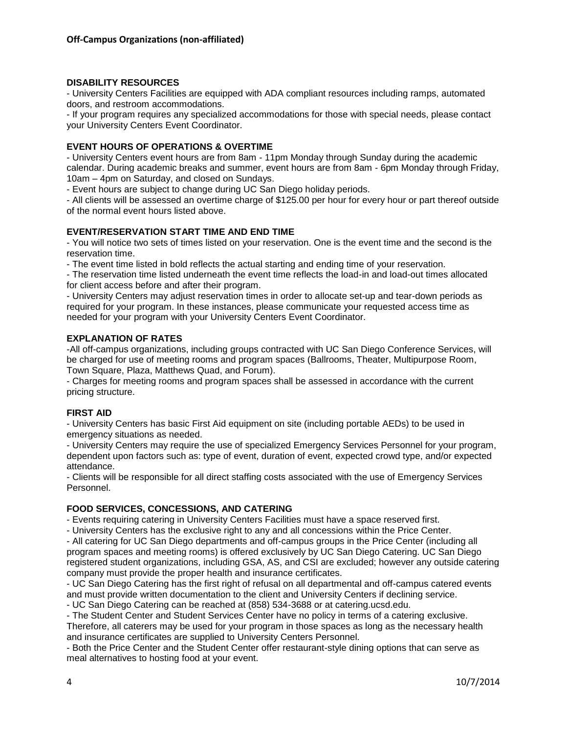### **DISABILITY RESOURCES**

- University Centers Facilities are equipped with ADA compliant resources including ramps, automated doors, and restroom accommodations.

- If your program requires any specialized accommodations for those with special needs, please contact your University Centers Event Coordinator.

### **EVENT HOURS OF OPERATIONS & OVERTIME**

- University Centers event hours are from 8am - 11pm Monday through Sunday during the academic calendar. During academic breaks and summer, event hours are from 8am - 6pm Monday through Friday, 10am – 4pm on Saturday, and closed on Sundays.

- Event hours are subject to change during UC San Diego holiday periods.

- All clients will be assessed an overtime charge of \$125.00 per hour for every hour or part thereof outside of the normal event hours listed above.

### **EVENT/RESERVATION START TIME AND END TIME**

- You will notice two sets of times listed on your reservation. One is the event time and the second is the reservation time.

- The event time listed in bold reflects the actual starting and ending time of your reservation.

- The reservation time listed underneath the event time reflects the load-in and load-out times allocated for client access before and after their program.

- University Centers may adjust reservation times in order to allocate set-up and tear-down periods as required for your program. In these instances, please communicate your requested access time as needed for your program with your University Centers Event Coordinator.

### **EXPLANATION OF RATES**

-All off-campus organizations, including groups contracted with UC San Diego Conference Services, will be charged for use of meeting rooms and program spaces (Ballrooms, Theater, Multipurpose Room, Town Square, Plaza, Matthews Quad, and Forum).

- Charges for meeting rooms and program spaces shall be assessed in accordance with the current pricing structure.

### **FIRST AID**

- University Centers has basic First Aid equipment on site (including portable AEDs) to be used in emergency situations as needed.

- University Centers may require the use of specialized Emergency Services Personnel for your program, dependent upon factors such as: type of event, duration of event, expected crowd type, and/or expected attendance.

- Clients will be responsible for all direct staffing costs associated with the use of Emergency Services Personnel.

### **FOOD SERVICES, CONCESSIONS, AND CATERING**

- Events requiring catering in University Centers Facilities must have a space reserved first.

- University Centers has the exclusive right to any and all concessions within the Price Center.

- All catering for UC San Diego departments and off-campus groups in the Price Center (including all program spaces and meeting rooms) is offered exclusively by UC San Diego Catering. UC San Diego registered student organizations, including GSA, AS, and CSI are excluded; however any outside catering company must provide the proper health and insurance certificates.

- UC San Diego Catering has the first right of refusal on all departmental and off-campus catered events and must provide written documentation to the client and University Centers if declining service.

- UC San Diego Catering can be reached at (858) 534-3688 or at catering.ucsd.edu.

- The Student Center and Student Services Center have no policy in terms of a catering exclusive.

Therefore, all caterers may be used for your program in those spaces as long as the necessary health and insurance certificates are supplied to University Centers Personnel.

- Both the Price Center and the Student Center offer restaurant-style dining options that can serve as meal alternatives to hosting food at your event.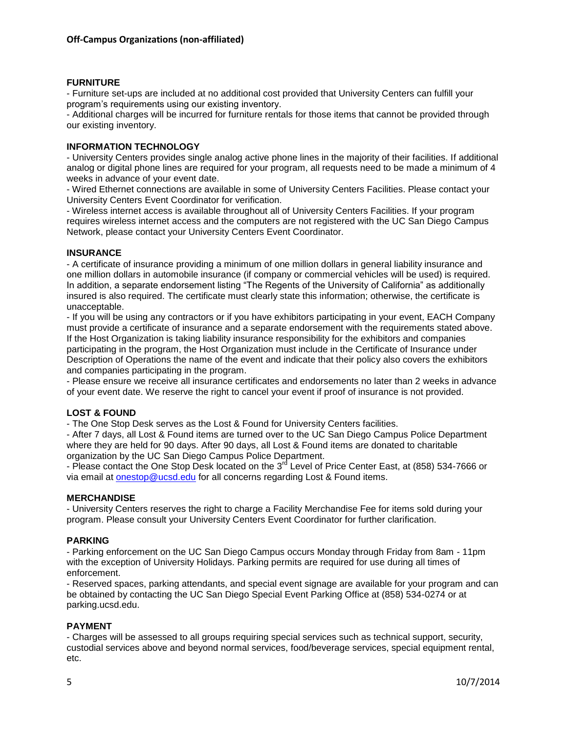### **FURNITURE**

- Furniture set-ups are included at no additional cost provided that University Centers can fulfill your program's requirements using our existing inventory.

- Additional charges will be incurred for furniture rentals for those items that cannot be provided through our existing inventory.

#### **INFORMATION TECHNOLOGY**

- University Centers provides single analog active phone lines in the majority of their facilities. If additional analog or digital phone lines are required for your program, all requests need to be made a minimum of 4 weeks in advance of your event date.

- Wired Ethernet connections are available in some of University Centers Facilities. Please contact your University Centers Event Coordinator for verification.

- Wireless internet access is available throughout all of University Centers Facilities. If your program requires wireless internet access and the computers are not registered with the UC San Diego Campus Network, please contact your University Centers Event Coordinator.

### **INSURANCE**

- A certificate of insurance providing a minimum of one million dollars in general liability insurance and one million dollars in automobile insurance (if company or commercial vehicles will be used) is required. In addition, a separate endorsement listing "The Regents of the University of California" as additionally insured is also required. The certificate must clearly state this information; otherwise, the certificate is unacceptable.

- If you will be using any contractors or if you have exhibitors participating in your event, EACH Company must provide a certificate of insurance and a separate endorsement with the requirements stated above. If the Host Organization is taking liability insurance responsibility for the exhibitors and companies participating in the program, the Host Organization must include in the Certificate of Insurance under Description of Operations the name of the event and indicate that their policy also covers the exhibitors and companies participating in the program.

- Please ensure we receive all insurance certificates and endorsements no later than 2 weeks in advance of your event date. We reserve the right to cancel your event if proof of insurance is not provided.

### **LOST & FOUND**

- The One Stop Desk serves as the Lost & Found for University Centers facilities.

- After 7 days, all Lost & Found items are turned over to the UC San Diego Campus Police Department where they are held for 90 days. After 90 days, all Lost & Found items are donated to charitable organization by the UC San Diego Campus Police Department.

- Please contact the One Stop Desk located on the 3<sup>rd</sup> Level of Price Center East, at (858) 534-7666 or via email at [onestop@ucsd.edu](mailto:onestop@ucsd.edu) for all concerns regarding Lost & Found items.

#### **MERCHANDISE**

- University Centers reserves the right to charge a Facility Merchandise Fee for items sold during your program. Please consult your University Centers Event Coordinator for further clarification.

#### **PARKING**

- Parking enforcement on the UC San Diego Campus occurs Monday through Friday from 8am - 11pm with the exception of University Holidays. Parking permits are required for use during all times of enforcement.

- Reserved spaces, parking attendants, and special event signage are available for your program and can be obtained by contacting the UC San Diego Special Event Parking Office at (858) 534-0274 or at parking.ucsd.edu.

#### **PAYMENT**

- Charges will be assessed to all groups requiring special services such as technical support, security, custodial services above and beyond normal services, food/beverage services, special equipment rental, etc.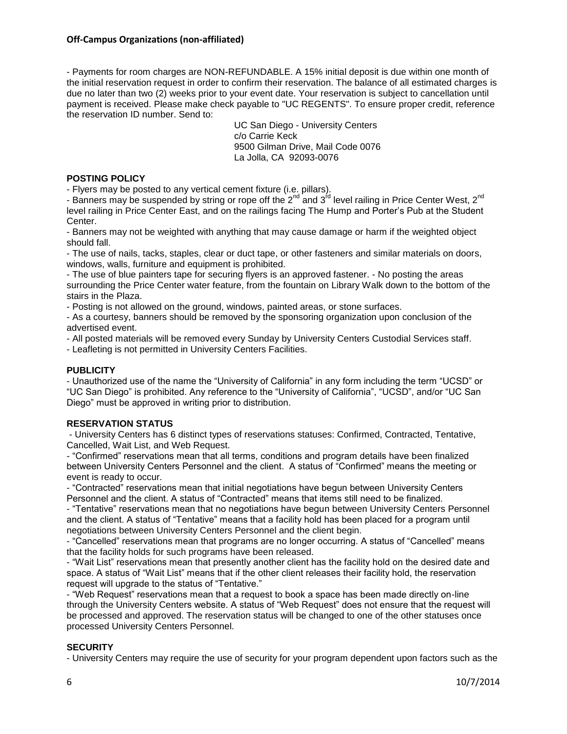- Payments for room charges are NON-REFUNDABLE. A 15% initial deposit is due within one month of the initial reservation request in order to confirm their reservation. The balance of all estimated charges is due no later than two (2) weeks prior to your event date. Your reservation is subject to cancellation until payment is received. Please make check payable to "UC REGENTS". To ensure proper credit, reference the reservation ID number. Send to:

> UC San Diego - University Centers c/o Carrie Keck 9500 Gilman Drive, Mail Code 0076 La Jolla, CA 92093-0076

### **POSTING POLICY**

- Flyers may be posted to any vertical cement fixture (i.e. pillars).

- Banners may be suspended by string or rope off the  $2^{nd}$  and  $3^{rd}$  level railing in Price Center West,  $2^{nd}$ level railing in Price Center East, and on the railings facing The Hump and Porter's Pub at the Student Center.

- Banners may not be weighted with anything that may cause damage or harm if the weighted object should fall.

- The use of nails, tacks, staples, clear or duct tape, or other fasteners and similar materials on doors, windows, walls, furniture and equipment is prohibited.

- The use of blue painters tape for securing flyers is an approved fastener. - No posting the areas surrounding the Price Center water feature, from the fountain on Library Walk down to the bottom of the stairs in the Plaza.

- Posting is not allowed on the ground, windows, painted areas, or stone surfaces.

- As a courtesy, banners should be removed by the sponsoring organization upon conclusion of the advertised event.

- All posted materials will be removed every Sunday by University Centers Custodial Services staff.

- Leafleting is not permitted in University Centers Facilities.

### **PUBLICITY**

- Unauthorized use of the name the "University of California" in any form including the term "UCSD" or "UC San Diego" is prohibited. Any reference to the "University of California", "UCSD", and/or "UC San Diego" must be approved in writing prior to distribution.

### **RESERVATION STATUS**

- University Centers has 6 distinct types of reservations statuses: Confirmed, Contracted, Tentative, Cancelled, Wait List, and Web Request.

- "Confirmed" reservations mean that all terms, conditions and program details have been finalized between University Centers Personnel and the client. A status of "Confirmed" means the meeting or event is ready to occur.

- "Contracted" reservations mean that initial negotiations have begun between University Centers Personnel and the client. A status of "Contracted" means that items still need to be finalized.

- "Tentative" reservations mean that no negotiations have begun between University Centers Personnel and the client. A status of "Tentative" means that a facility hold has been placed for a program until negotiations between University Centers Personnel and the client begin.

- "Cancelled" reservations mean that programs are no longer occurring. A status of "Cancelled" means that the facility holds for such programs have been released.

- "Wait List" reservations mean that presently another client has the facility hold on the desired date and space. A status of "Wait List" means that if the other client releases their facility hold, the reservation request will upgrade to the status of "Tentative."

- "Web Request" reservations mean that a request to book a space has been made directly on-line through the University Centers website. A status of "Web Request" does not ensure that the request will be processed and approved. The reservation status will be changed to one of the other statuses once processed University Centers Personnel.

## **SECURITY**

- University Centers may require the use of security for your program dependent upon factors such as the